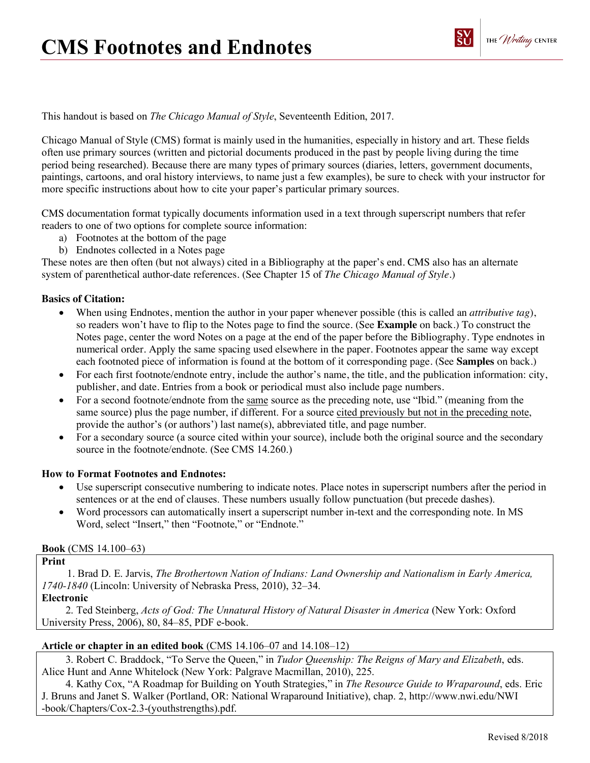

This handout is based on *The Chicago Manual of Style*, Seventeenth Edition, 2017.

Chicago Manual of Style (CMS) format is mainly used in the humanities, especially in history and art. These fields often use primary sources (written and pictorial documents produced in the past by people living during the time period being researched). Because there are many types of primary sources (diaries, letters, government documents, paintings, cartoons, and oral history interviews, to name just a few examples), be sure to check with your instructor for more specific instructions about how to cite your paper's particular primary sources.

CMS documentation format typically documents information used in a text through superscript numbers that refer readers to one of two options for complete source information:

- a) Footnotes at the bottom of the page
- b) Endnotes collected in a Notes page

These notes are then often (but not always) cited in a Bibliography at the paper's end. CMS also has an alternate system of parenthetical author-date references. (See Chapter 15 of *The Chicago Manual of Style*.)

### **Basics of Citation:**

- When using Endnotes, mention the author in your paper whenever possible (this is called an *attributive tag*), so readers won't have to flip to the Notes page to find the source. (See **Example** on back.) To construct the Notes page, center the word Notes on a page at the end of the paper before the Bibliography. Type endnotes in numerical order. Apply the same spacing used elsewhere in the paper. Footnotes appear the same way except each footnoted piece of information is found at the bottom of it corresponding page. (See **Samples** on back.)
- For each first footnote/endnote entry, include the author's name, the title, and the publication information: city, publisher, and date. Entries from a book or periodical must also include page numbers.
- For a second footnote/endnote from the same source as the preceding note, use "Ibid." (meaning from the same source) plus the page number, if different. For a source cited previously but not in the preceding note, provide the author's (or authors') last name(s), abbreviated title, and page number.
- For a secondary source (a source cited within your source), include both the original source and the secondary source in the footnote/endnote. (See CMS 14.260.)

### **How to Format Footnotes and Endnotes:**

- Use superscript consecutive numbering to indicate notes. Place notes in superscript numbers after the period in sentences or at the end of clauses. These numbers usually follow punctuation (but precede dashes).
- Word processors can automatically insert a superscript number in-text and the corresponding note. In MS Word, select "Insert," then "Footnote," or "Endnote."

### **Book** (CMS 14.100–63)

## **Print**

1. Brad D. E. Jarvis, *The Brothertown Nation of Indians: Land Ownership and Nationalism in Early America, 1740-1840* (Lincoln: University of Nebraska Press, 2010), 32–34.

### **Electronic**

2. Ted Steinberg, *Acts of God: The Unnatural History of Natural Disaster in America* (New York: Oxford University Press, 2006), 80, 84–85, PDF e-book.

### **Article or chapter in an edited book** (CMS 14.106–07 and 14.108–12)

3. Robert C. Braddock, "To Serve the Queen," in *Tudor Queenship: The Reigns of Mary and Elizabeth*, eds. Alice Hunt and Anne Whitelock (New York: Palgrave Macmillan, 2010), 225.

4. Kathy Cox, "A Roadmap for Building on Youth Strategies," in *The Resource Guide to Wraparound*, eds. Eric J. Bruns and Janet S. Walker (Portland, OR: National Wraparound Initiative), chap. 2, http://www.nwi.edu/NWI -book/Chapters/Cox-2.3-(youthstrengths).pdf.